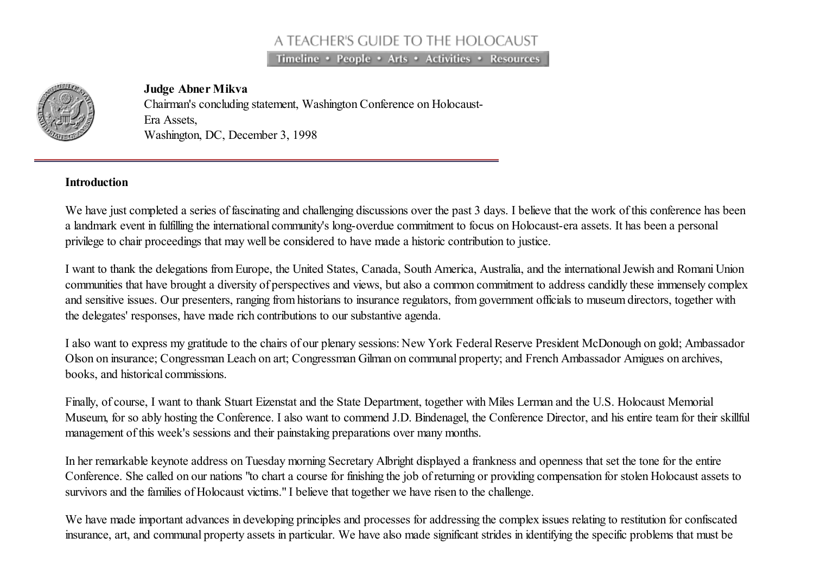# A TEACHER'S GUIDE TO THE HOLOCAUST

Timeline • People • Arts • Activities • Resources



### Judge Abner Mikva

Chairman's concluding statement, Washington Conference on Holocaust-Era Assets, Washington, DC, December 3, 1998

### Introduction

We have just completed a series of fascinating and challenging discussions over the past 3 days. I believe that the work of this conference has been a landmark event in fulfilling the international community's long-overdue commitment to focus on Holocaust-era assets. It has been a personal privilege to chair proceedings that may well be considered to have made a historic contribution to justice.

I want to thank the delegations from Europe, the United States, Canada, South America, Australia, and the internationalJewish and Romani Union communities that have brought a diversity of perspectives and views, but also a common commitment to address candidly these immensely complex and sensitive issues. Our presenters, ranging from historians to insurance regulators, from government officials to museum directors, together with the delegates' responses, have made rich contributions to our substantive agenda.

I also want to express my gratitude to the chairs of our plenary sessions: New York Federal Reserve President McDonough on gold; Ambassador Olson on insurance; Congressman Leach on art; Congressman Gilman on communal property; and French Ambassador Amigues on archives, books, and historical commissions.

Finally, of course, I want to thank Stuart Eizenstat and the State Department, together with Miles Lerman and the U.S. Holocaust Memorial Museum, for so ably hosting the Conference. I also want to commend J.D. Bindenagel, the Conference Director, and his entire team for their skillful management of this week's sessions and their painstaking preparations over many months.

In her remarkable keynote address on Tuesday morning Secretary Albright displayed a frankness and openness that set the tone for the entire Conference. She called on our nations "to chart a course for finishing the job of returning or providing compensation for stolen Holocaust assets to survivors and the families of Holocaust victims." I believe that together we have risen to the challenge.

We have made important advances in developing principles and processes for addressing the complex issues relating to restitution for confiscated insurance, art, and communal property assets in particular. We have also made significant strides in identifying the specific problems that must be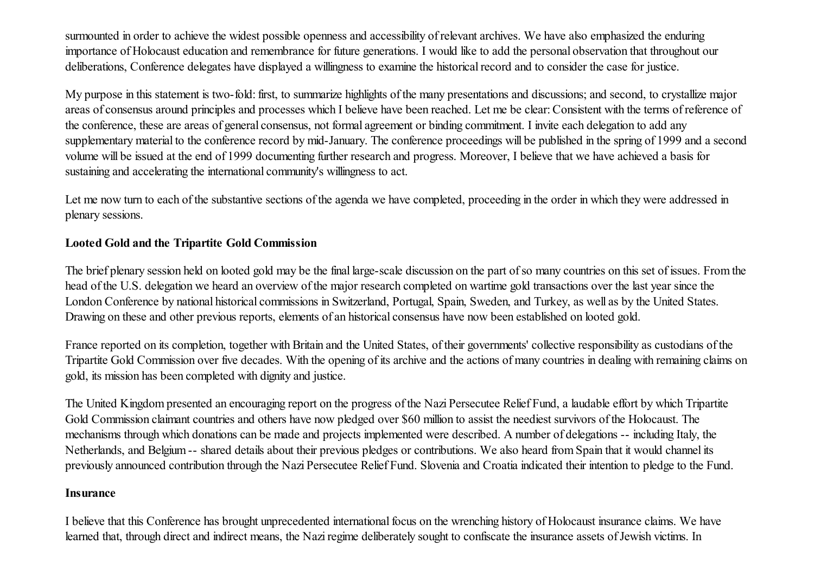surmounted in order to achieve the widest possible openness and accessibility of relevant archives. We have also emphasized the enduring importance of Holocaust education and remembrance for future generations. I would like to add the personal observation that throughout our deliberations, Conference delegates have displayed a willingness to examine the historical record and to consider the case for justice.

My purpose in this statement is two-fold: first, to summarize highlights of the many presentations and discussions; and second, to crystallize major areas of consensus around principles and processes which I believe have been reached. Let me be clear:Consistent with the terms of reference of the conference, these are areas of general consensus, not formal agreement or binding commitment. I invite each delegation to add any supplementary material to the conference record by mid-January. The conference proceedings will be published in the spring of 1999 and a second volume will be issued at the end of 1999 documenting further research and progress. Moreover, I believe that we have achieved a basis for sustaining and accelerating the international community's willingness to act.

Let me now turn to each of the substantive sections of the agenda we have completed, proceeding in the order in which they were addressed in plenary sessions.

# Looted Gold and the Tripartite Gold Commission

The brief plenary session held on looted gold may be the final large-scale discussion on the part of so many countries on this set of issues. From the head of the U.S. delegation we heard an overview of the major research completed on wartime gold transactions over the last year since the London Conference by national historical commissions in Switzerland, Portugal, Spain, Sweden, and Turkey, as well as by the United States. Drawing on these and other previous reports, elements of an historical consensus have now been established on looted gold.

France reported on its completion, together with Britain and the United States, of their governments' collective responsibility as custodians of the Tripartite Gold Commission over five decades. With the opening of its archive and the actions of many countries in dealing with remaining claims on gold, its mission has been completed with dignity and justice.

The United Kingdom presented an encouraging report on the progress of the Nazi Persecutee Relief Fund, a laudable effort by which Tripartite Gold Commission claimant countries and others have now pledged over \$60 million to assist the neediest survivors of the Holocaust. The mechanisms through which donations can be made and projects implemented were described. A number of delegations -- including Italy, the Netherlands, and Belgium -- shared details about their previous pledges or contributions. We also heard from Spain that it would channel its previously announced contribution through the Nazi Persecutee Relief Fund. Slovenia and Croatia indicated their intention to pledge to the Fund.

# Insurance

I believe that this Conference has brought unprecedented international focus on the wrenching history of Holocaust insurance claims. We have learned that, through direct and indirect means, the Nazi regime deliberately sought to confiscate the insurance assets of Jewish victims. In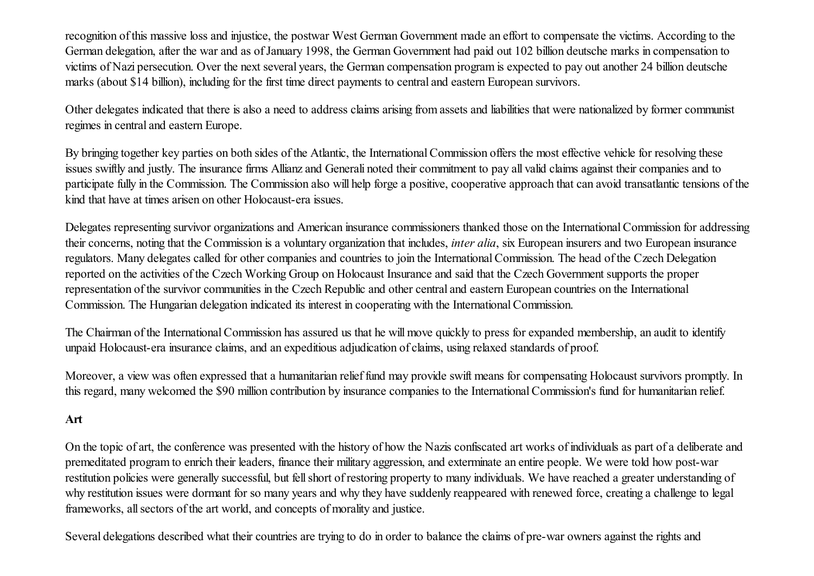recognition of this massive loss and injustice, the postwar West German Government made an effort to compensate the victims. According to the German delegation, after the war and as of January 1998, the German Government had paid out 102 billion deutsche marks in compensation to victims of Nazi persecution. Over the next several years, the German compensation program is expected to pay out another 24 billion deutsche marks (about \$14 billion), including for the first time direct payments to central and eastern European survivors.

Other delegates indicated that there is also a need to address claims arising from assets and liabilities that were nationalized by former communist regimes in central and eastern Europe.

By bringing together key parties on both sides of the Atlantic, the International Commission offers the most effective vehicle for resolving these issues swiftly and justly. The insurance firms Allianz and Generali noted their commitment to pay all valid claims against their companies and to participate fully in the Commission. The Commission also will help forge a positive, cooperative approach that can avoid transatlantic tensions of the kind that have at times arisen on other Holocaust-era issues.

Delegates representing survivor organizations and American insurance commissioners thanked those on the International Commission for addressing their concerns, noting that the Commission is a voluntary organization that includes, *inter alia*, six European insurers and two European insurance regulators. Many delegates called for other companies and countries to join the InternationalCommission. The head of the Czech Delegation reported on the activities of the Czech Working Group on Holocaust Insurance and said that the Czech Government supports the proper representation of the survivor communities in the Czech Republic and other central and eastern European countries on the International Commission. The Hungarian delegation indicated its interest in cooperating with the InternationalCommission.

The Chairman of the International Commission has assured us that he will move quickly to press for expanded membership, an audit to identify unpaid Holocaust-era insurance claims, and an expeditious adjudication of claims, using relaxed standards of proof.

Moreover, a view was often expressed that a humanitarian relief fund may provide swift means for compensating Holocaust survivors promptly. In this regard, many welcomed the \$90 million contribution by insurance companies to the InternationalCommission's fund for humanitarian relief.

# Art

On the topic of art, the conference was presented with the history of how the Nazis confiscated art works of individuals as part of a deliberate and premeditated program to enrich their leaders, finance their military aggression, and exterminate an entire people. We were told how post-war restitution policies were generally successful, but fellshort of restoring property to many individuals. We have reached a greater understanding of why restitution issues were dormant for so many years and why they have suddenly reappeared with renewed force, creating a challenge to legal frameworks, allsectors of the art world, and concepts of morality and justice.

Several delegations described what their countries are trying to do in order to balance the claims of pre-war owners against the rights and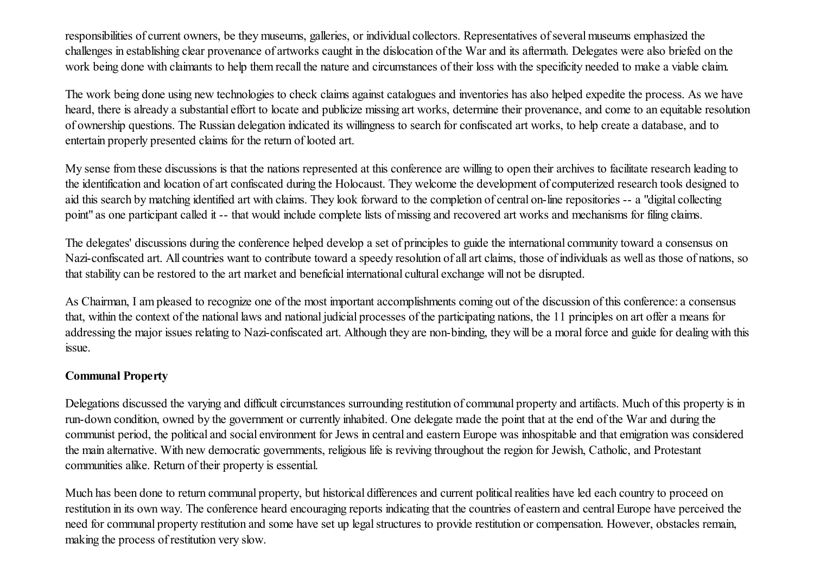responsibilities of current owners, be they museums, galleries, or individual collectors. Representatives of several museums emphasized the challenges in establishing clear provenance of artworks caught in the dislocation of the War and its aftermath. Delegates were also briefed on the work being done with claimants to help them recall the nature and circumstances of their loss with the specificity needed to make a viable claim.

The work being done using new technologies to check claims against catalogues and inventories has also helped expedite the process. As we have heard, there is already a substantial effort to locate and publicize missing art works, determine their provenance, and come to an equitable resolution of ownership questions. The Russian delegation indicated its willingness to search for confiscated art works, to help create a database, and to entertain properly presented claims for the return of looted art.

My sense from these discussions is that the nations represented at this conference are willing to open their archives to facilitate research leading to the identification and location of art confiscated during the Holocaust. They welcome the development of computerized research tools designed to aid this search by matching identified art with claims. They look forward to the completion of central on-line repositories -- a "digital collecting point" as one participant called it -- that would include complete lists of missing and recovered art works and mechanisms for filing claims.

The delegates' discussions during the conference helped develop a set of principles to guide the international community toward a consensus on Nazi-confiscated art. All countries want to contribute toward a speedy resolution of all art claims, those of individuals as well as those of nations, so that stability can be restored to the art market and beneficial international cultural exchange will not be disrupted.

As Chairman, I am pleased to recognize one of the most important accomplishments coming out of the discussion of this conference: a consensus that, within the context of the national laws and national judicial processes of the participating nations, the 11 principles on art offer a means for addressing the major issues relating to Nazi-confiscated art. Although they are non-binding, they will be a moral force and guide for dealing with this issue.

## Communal Property

Delegations discussed the varying and difficult circumstances surrounding restitution of communal property and artifacts. Much of this property is in run-down condition, owned by the government or currently inhabited. One delegate made the point that at the end of the War and during the communist period, the political and social environment for Jews in central and eastern Europe was inhospitable and that emigration was considered the main alternative. With new democratic governments, religious life is reviving throughout the region for Jewish, Catholic, and Protestant communities alike. Return of their property is essential.

Much has been done to return communal property, but historical differences and current political realities have led each country to proceed on restitution in its own way. The conference heard encouraging reports indicating that the countries of eastern and central Europe have perceived the need for communal property restitution and some have set up legal structures to provide restitution or compensation. However, obstacles remain, making the process of restitution very slow.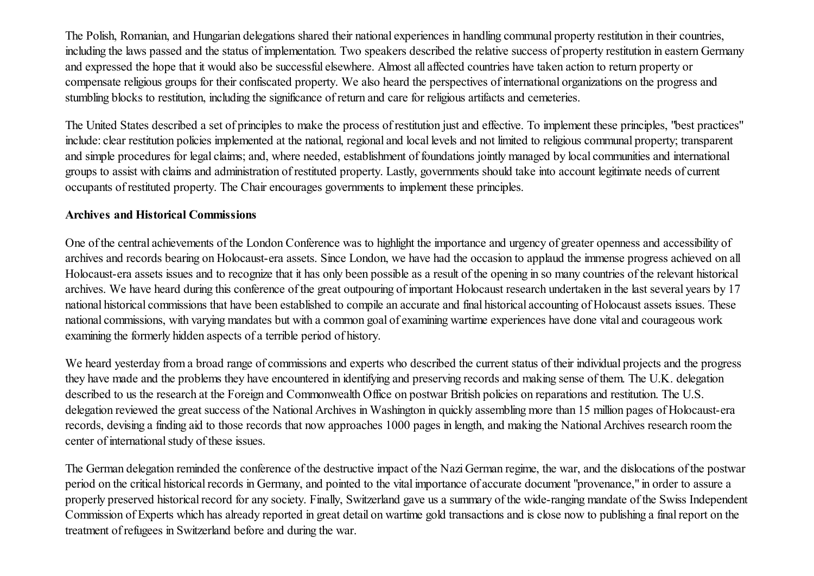The Polish, Romanian, and Hungarian delegations shared their national experiences in handling communal property restitution in their countries, including the laws passed and the status of implementation. Two speakers described the relative success of property restitution in eastern Germany and expressed the hope that it would also be successful elsewhere. Almost all affected countries have taken action to return property or compensate religious groups for their confiscated property. We also heard the perspectives of international organizations on the progress and stumbling blocks to restitution, including the significance of return and care for religious artifacts and cemeteries.

The United States described a set of principles to make the process of restitution just and effective. To implement these principles, "best practices" include: clear restitution policies implemented at the national, regional and local levels and not limited to religious communal property; transparent and simple procedures for legal claims; and, where needed, establishment of foundations jointly managed by local communities and international groups to assist with claims and administration of restituted property. Lastly, governments should take into account legitimate needs of current occupants of restituted property. The Chair encourages governments to implement these principles.

### Archives and Historical Commissions

One of the central achievements of the London Conference was to highlight the importance and urgency of greater openness and accessibility of archives and records bearing on Holocaust-era assets. Since London, we have had the occasion to applaud the immense progress achieved on all Holocaust-era assets issues and to recognize that it has only been possible as a result of the opening in so many countries of the relevant historical archives. We have heard during this conference of the great outpouring of important Holocaust research undertaken in the last several years by 17 national historical commissions that have been established to compile an accurate and final historical accounting of Holocaust assets issues. These national commissions, with varying mandates but with a common goal of examining wartime experiences have done vital and courageous work examining the formerly hidden aspects of a terrible period of history.

We heard yesterday from a broad range of commissions and experts who described the current status of their individual projects and the progress they have made and the problems they have encountered in identifying and preserving records and making sense of them. The U.K. delegation described to us the research at the Foreign and Commonwealth Office on postwar British policies on reparations and restitution. The U.S. delegation reviewed the great success of the National Archives in Washington in quickly assembling more than 15 million pages of Holocaust-era records, devising a finding aid to those records that now approaches 1000 pages in length, and making the National Archives research room the center of international study of these issues.

The German delegation reminded the conference of the destructive impact of the Nazi German regime, the war, and the dislocations of the postwar period on the critical historical records in Germany, and pointed to the vital importance of accurate document "provenance," in order to assure a properly preserved historical record for any society. Finally, Switzerland gave us a summary of the wide-ranging mandate of the Swiss Independent Commission of Experts which has already reported in great detail on wartime gold transactions and is close now to publishing a finalreport on the treatment of refugees in Switzerland before and during the war.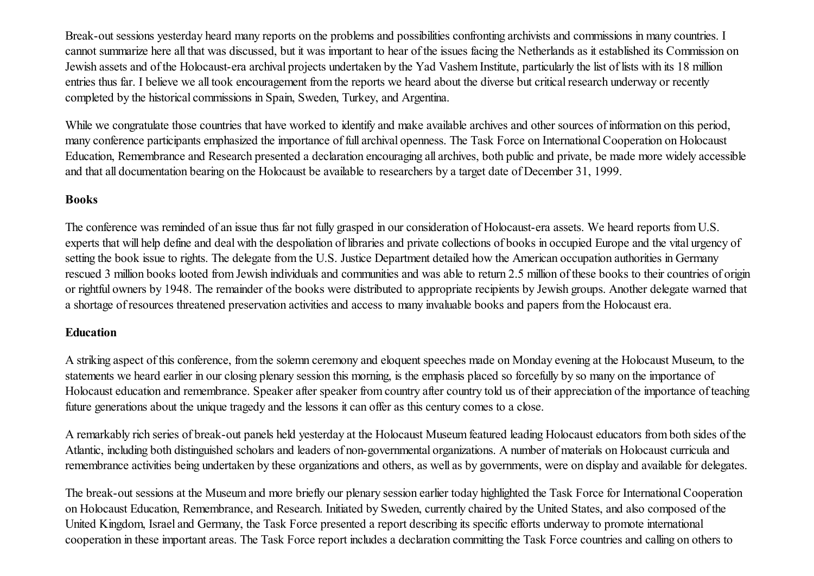Break-out sessions yesterday heard many reports on the problems and possibilities confronting archivists and commissions in many countries. I cannot summarize here all that was discussed, but it was important to hear of the issues facing the Netherlands as it established its Commission on Jewish assets and of the Holocaust-era archival projects undertaken by the Yad Vashem Institute, particularly the list of lists with its 18 million entries thus far. I believe we all took encouragement from the reports we heard about the diverse but critical research underway or recently completed by the historical commissions in Spain, Sweden, Turkey, and Argentina.

While we congratulate those countries that have worked to identify and make available archives and other sources of information on this period, many conference participants emphasized the importance of full archival openness. The Task Force on InternationalCooperation on Holocaust Education, Remembrance and Research presented a declaration encouraging all archives, both public and private, be made more widely accessible and that all documentation bearing on the Holocaust be available to researchers by a target date of December 31, 1999.

### Books

The conference was reminded of an issue thus far not fully grasped in our consideration of Holocaust-era assets. We heard reports from U.S. experts that will help define and deal with the despoliation of libraries and private collections of books in occupied Europe and the vital urgency of setting the book issue to rights. The delegate from the U.S. Justice Department detailed how the American occupation authorities in Germany rescued 3 million books looted from Jewish individuals and communities and was able to return 2.5 million of these books to their countries of origin or rightful owners by 1948. The remainder of the books were distributed to appropriate recipients by Jewish groups. Another delegate warned that a shortage of resources threatened preservation activities and access to many invaluable books and papers from the Holocaust era.

## Education

A striking aspect of this conference, from the solemn ceremony and eloquent speeches made on Monday evening at the Holocaust Museum, to the statements we heard earlier in our closing plenary session this morning, is the emphasis placed so forcefully by so many on the importance of Holocaust education and remembrance. Speaker after speaker from country after country told us of their appreciation of the importance of teaching future generations about the unique tragedy and the lessons it can offer as this century comes to a close.

A remarkably rich series of break-out panels held yesterday at the Holocaust Museum featured leading Holocaust educators from both sides of the Atlantic, including both distinguished scholars and leaders of non-governmental organizations. A number of materials on Holocaust curricula and remembrance activities being undertaken by these organizations and others, as well as by governments, were on display and available for delegates.

The break-out sessions at the Museum and more briefly our plenary session earlier today highlighted the Task Force for InternationalCooperation on Holocaust Education, Remembrance, and Research. Initiated by Sweden, currently chaired by the United States, and also composed of the United Kingdom, Israel and Germany, the Task Force presented a report describing its specific efforts underway to promote international cooperation in these important areas. The Task Force report includes a declaration committing the Task Force countries and calling on others to